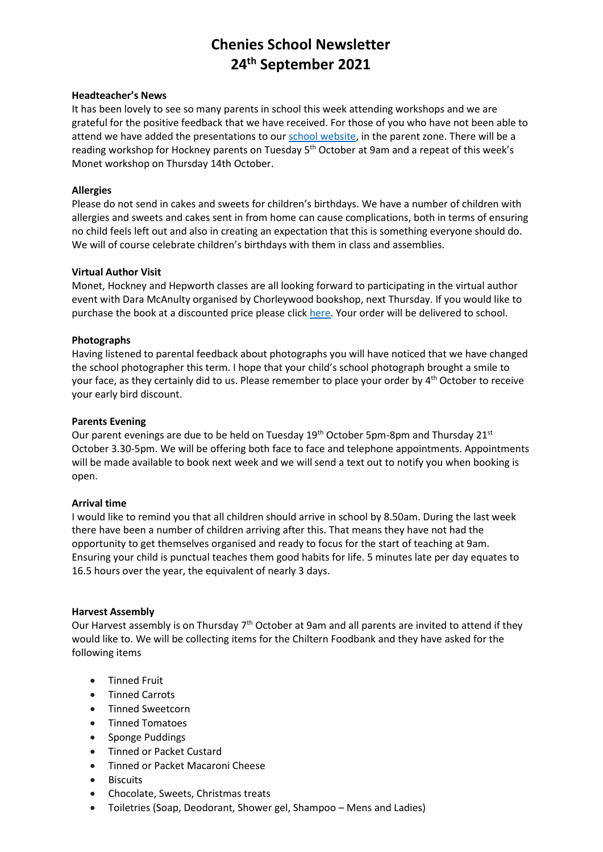# **Chenies School Newsletter 24th September 2021**

## **Headteacher's News**

It has been lovely to see so many parents in school this week attending workshops and we are grateful for the positive feedback that we have received. For those of you who have not been able to attend we have added the presentations to our [school website,](https://www.chenies.bucks.sch.uk/web/parent_workshops/573985) in the parent zone. There will be a reading workshop for Hockney parents on Tuesday 5<sup>th</sup> October at 9am and a repeat of this week's Monet workshop on Thursday 14th October.

# **Allergies**

Please do not send in cakes and sweets for children's birthdays. We have a number of children with allergies and sweets and cakes sent in from home can cause complications, both in terms of ensuring no child feels left out and also in creating an expectation that this is something everyone should do. We will of course celebrate children's birthdays with them in class and assemblies.

## **Virtual Author Visit**

Monet, Hockney and Hepworth classes are all looking forward to participating in the virtual author event with Dara McAnulty organised by Chorleywood bookshop, next Thursday. If you would like to purchase the book at a discounted price please clic[k here.](https://chilternbookshops.co.uk/product-category/dara-mcanulty-event/) Your order will be delivered to school.

# **Photographs**

Having listened to parental feedback about photographs you will have noticed that we have changed the school photographer this term. I hope that your child's school photograph brought a smile to your face, as they certainly did to us. Please remember to place your order by 4<sup>th</sup> October to receive your early bird discount.

# **Parents Evening**

Our parent evenings are due to be held on Tuesday 19<sup>th</sup> October 5pm-8pm and Thursday 21<sup>st</sup> October 3.30-5pm. We will be offering both face to face and telephone appointments. Appointments will be made available to book next week and we will send a text out to notify you when booking is open.

## **Arrival time**

I would like to remind you that all children should arrive in school by 8.50am. During the last week there have been a number of children arriving after this. That means they have not had the opportunity to get themselves organised and ready to focus for the start of teaching at 9am. Ensuring your child is punctual teaches them good habits for life. 5 minutes late per day equates to 16.5 hours over the year, the equivalent of nearly 3 days.

## **Harvest Assembly**

Our Harvest assembly is on Thursday 7<sup>th</sup> October at 9am and all parents are invited to attend if they would like to. We will be collecting items for the Chiltern Foodbank and they have asked for the following items

- **•** Tinned Fruit
- Tinned Carrots
- Tinned Sweetcorn
- Tinned Tomatoes
- Sponge Puddings
- Tinned or Packet Custard
- Tinned or Packet Macaroni Cheese
- Biscuits
- Chocolate, Sweets, Christmas treats
- Toiletries (Soap, Deodorant, Shower gel, Shampoo Mens and Ladies)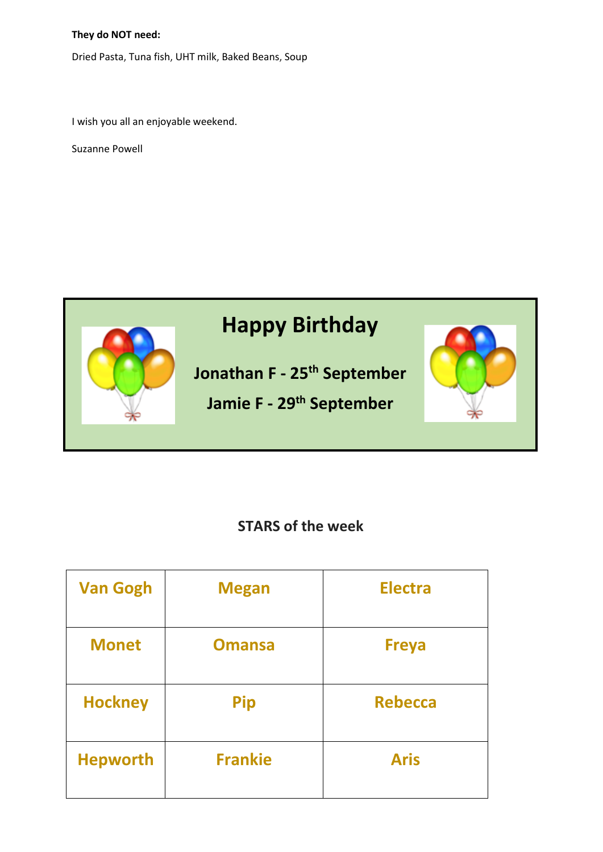# **They do NOT need:**

Dried Pasta, Tuna fish, UHT milk, Baked Beans, Soup

I wish you all an enjoyable weekend.

Suzanne Powell



# **Happy Birthday**

**Jonathan F - 25th September Jamie F - 29th September**



# **STARS of the week**

| <b>Van Gogh</b> | <b>Megan</b>   | <b>Electra</b> |
|-----------------|----------------|----------------|
| <b>Monet</b>    | <b>Omansa</b>  | <b>Freya</b>   |
| <b>Hockney</b>  | <b>Pip</b>     | <b>Rebecca</b> |
| <b>Hepworth</b> | <b>Frankie</b> | <b>Aris</b>    |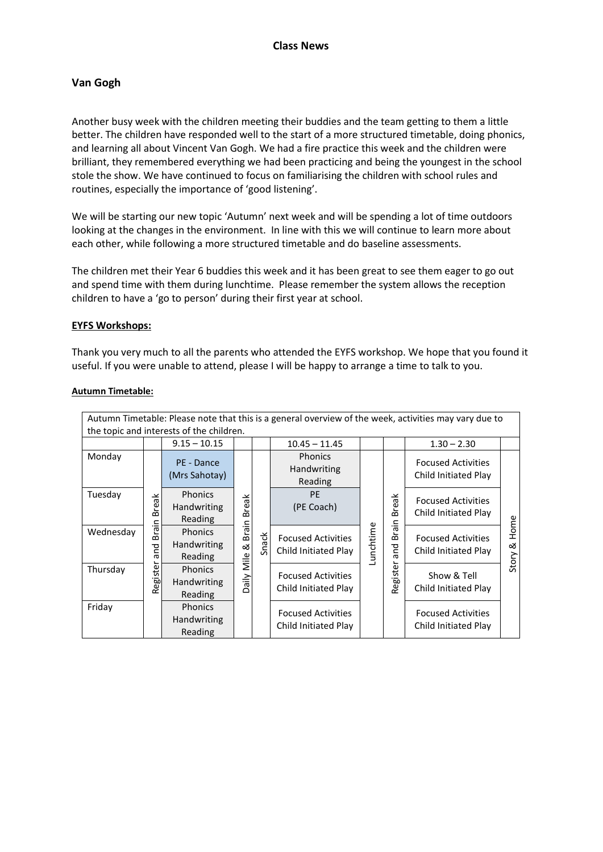# **Van Gogh**

Another busy week with the children meeting their buddies and the team getting to them a little better. The children have responded well to the start of a more structured timetable, doing phonics, and learning all about Vincent Van Gogh. We had a fire practice this week and the children were brilliant, they remembered everything we had been practicing and being the youngest in the school stole the show. We have continued to focus on familiarising the children with school rules and routines, especially the importance of 'good listening'.

We will be starting our new topic 'Autumn' next week and will be spending a lot of time outdoors looking at the changes in the environment. In line with this we will continue to learn more about each other, while following a more structured timetable and do baseline assessments.

The children met their Year 6 buddies this week and it has been great to see them eager to go out and spend time with them during lunchtime. Please remember the system allows the reception children to have a 'go to person' during their first year at school.

## **EYFS Workshops:**

Thank you very much to all the parents who attended the EYFS workshop. We hope that you found it useful. If you were unable to attend, please I will be happy to arrange a time to talk to you.

| Autumn Timetable: Please note that this is a general overview of the week, activities may vary due to |                                          |                                                 |              |          |                                                   |           |                           |                                                   |                    |
|-------------------------------------------------------------------------------------------------------|------------------------------------------|-------------------------------------------------|--------------|----------|---------------------------------------------------|-----------|---------------------------|---------------------------------------------------|--------------------|
|                                                                                                       | the topic and interests of the children. |                                                 |              |          |                                                   |           |                           |                                                   |                    |
|                                                                                                       |                                          | $9.15 - 10.15$                                  |              |          | $10.45 - 11.45$                                   |           |                           | $1.30 - 2.30$                                     |                    |
| Monday                                                                                                |                                          | PE - Dance<br>(Mrs Sahotay)                     |              |          | <b>Phonics</b><br><b>Handwriting</b><br>Reading   |           |                           | <b>Focused Activities</b><br>Child Initiated Play |                    |
| Tuesdav                                                                                               | <b>Break</b><br>$\subset$<br>._          | <b>Phonics</b><br><b>Handwriting</b><br>Reading | <b>Break</b> |          | <b>PE</b><br>(PE Coach)                           |           | reak<br>മ<br>그.           | <b>Focused Activities</b><br>Child Initiated Play |                    |
| Wednesday                                                                                             | Brai<br>짇<br>ಹ                           | <b>Phonics</b><br>Handwriting<br>Reading        | Brain<br>ಹ   | ack<br>Š | <b>Focused Activities</b><br>Child Initiated Play | -unchtime | _<br>و<br>$\omega$<br>pue | <b>Focused Activities</b><br>Child Initiated Play | Home<br>ಹ<br>Story |
| Thursday                                                                                              | egister<br>œ                             | <b>Phonics</b><br><b>Handwriting</b><br>Reading | Daily Mile   |          | <b>Focused Activities</b><br>Child Initiated Play |           | Register                  | Show & Tell<br>Child Initiated Play               |                    |
| Friday                                                                                                |                                          | <b>Phonics</b><br><b>Handwriting</b><br>Reading |              |          | <b>Focused Activities</b><br>Child Initiated Play |           |                           | <b>Focused Activities</b><br>Child Initiated Play |                    |

## **Autumn Timetable:**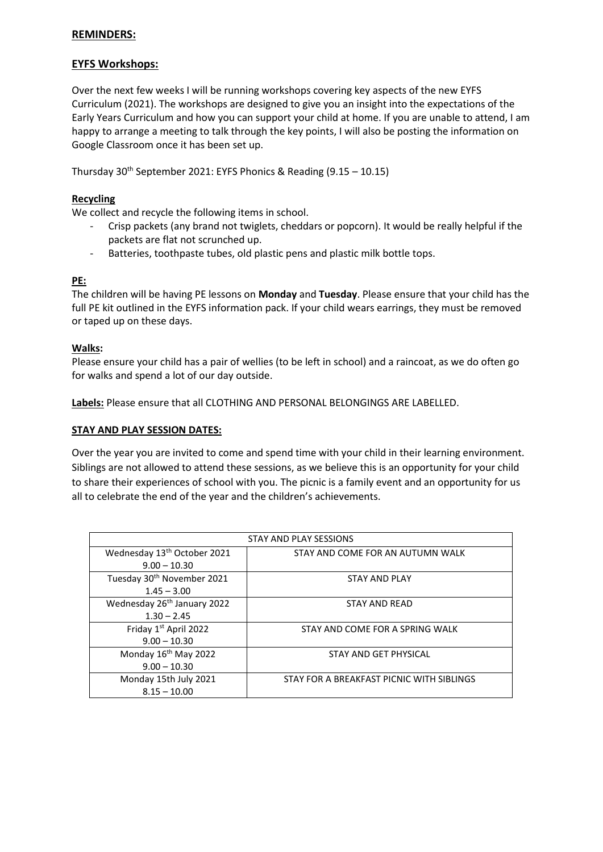# **REMINDERS:**

# **EYFS Workshops:**

Over the next few weeks I will be running workshops covering key aspects of the new EYFS Curriculum (2021). The workshops are designed to give you an insight into the expectations of the Early Years Curriculum and how you can support your child at home. If you are unable to attend, I am happy to arrange a meeting to talk through the key points, I will also be posting the information on Google Classroom once it has been set up.

Thursday  $30<sup>th</sup>$  September 2021: EYFS Phonics & Reading (9.15 – 10.15)

# **Recycling**

We collect and recycle the following items in school.

- Crisp packets (any brand not twiglets, cheddars or popcorn). It would be really helpful if the packets are flat not scrunched up.
- Batteries, toothpaste tubes, old plastic pens and plastic milk bottle tops.

# **PE:**

The children will be having PE lessons on **Monday** and **Tuesday**. Please ensure that your child has the full PE kit outlined in the EYFS information pack. If your child wears earrings, they must be removed or taped up on these days.

## **Walks:**

Please ensure your child has a pair of wellies (to be left in school) and a raincoat, as we do often go for walks and spend a lot of our day outside.

**Labels:** Please ensure that all CLOTHING AND PERSONAL BELONGINGS ARE LABELLED.

## **STAY AND PLAY SESSION DATES:**

Over the year you are invited to come and spend time with your child in their learning environment. Siblings are not allowed to attend these sessions, as we believe this is an opportunity for your child to share their experiences of school with you. The picnic is a family event and an opportunity for us all to celebrate the end of the year and the children's achievements.

| STAY AND PLAY SESSIONS                  |                                           |  |  |  |
|-----------------------------------------|-------------------------------------------|--|--|--|
| Wednesday 13 <sup>th</sup> October 2021 | STAY AND COME FOR AN AUTUMN WALK          |  |  |  |
| $9.00 - 10.30$                          |                                           |  |  |  |
| Tuesday 30 <sup>th</sup> November 2021  | <b>STAY AND PLAY</b>                      |  |  |  |
| $1.45 - 3.00$                           |                                           |  |  |  |
| Wednesday 26 <sup>th</sup> January 2022 | <b>STAY AND READ</b>                      |  |  |  |
| $1.30 - 2.45$                           |                                           |  |  |  |
| Friday 1st April 2022                   | STAY AND COME FOR A SPRING WALK           |  |  |  |
| $9.00 - 10.30$                          |                                           |  |  |  |
| Monday 16 <sup>th</sup> May 2022        | STAY AND GET PHYSICAL                     |  |  |  |
| $9.00 - 10.30$                          |                                           |  |  |  |
| Monday 15th July 2021                   | STAY FOR A BREAKFAST PICNIC WITH SIBLINGS |  |  |  |
| $8.15 - 10.00$                          |                                           |  |  |  |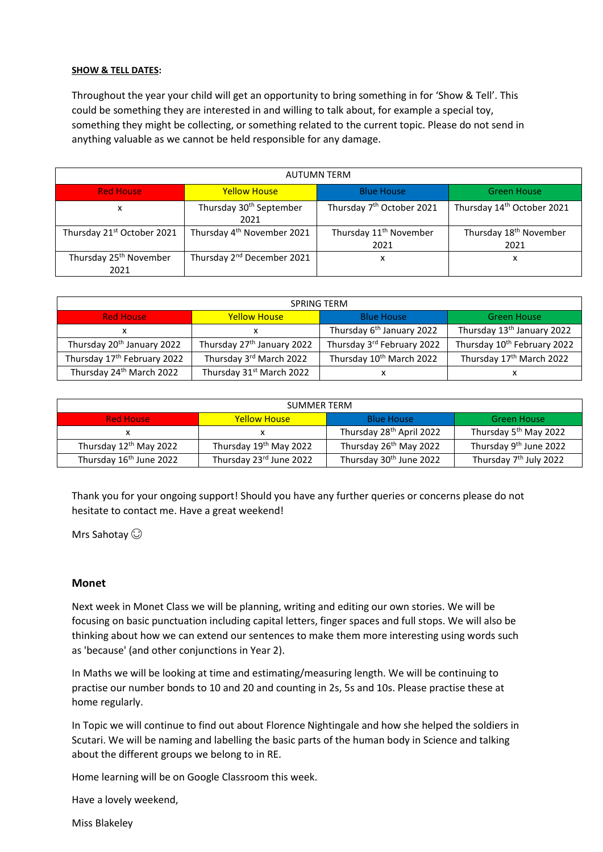#### **SHOW & TELL DATES:**

Throughout the year your child will get an opportunity to bring something in for 'Show & Tell'. This could be something they are interested in and willing to talk about, for example a special toy, something they might be collecting, or something related to the current topic. Please do not send in anything valuable as we cannot be held responsible for any damage.

| <b>AUTUMN TERM</b>                         |                                             |                                            |                                            |  |
|--------------------------------------------|---------------------------------------------|--------------------------------------------|--------------------------------------------|--|
| <b>Red House</b>                           | <b>Yellow House</b>                         | <b>Blue House</b>                          | <b>Green House</b>                         |  |
| x                                          | Thursday 30 <sup>th</sup> September<br>2021 | Thursday 7 <sup>th</sup> October 2021      | Thursday 14 <sup>th</sup> October 2021     |  |
| Thursday 21 <sup>st</sup> October 2021     | Thursday 4 <sup>th</sup> November 2021      | Thursday 11 <sup>th</sup> November<br>2021 | Thursday 18 <sup>th</sup> November<br>2021 |  |
| Thursday 25 <sup>th</sup> November<br>2021 | Thursday 2 <sup>nd</sup> December 2021      | x                                          | х                                          |  |

| <b>SPRING TERM</b>                     |                                        |                                       |                                         |  |
|----------------------------------------|----------------------------------------|---------------------------------------|-----------------------------------------|--|
| <b>Red House</b>                       | <b>Yellow House</b>                    | <b>Blue House</b>                     | <b>Green House</b>                      |  |
|                                        |                                        | Thursday 6 <sup>th</sup> January 2022 | Thursday 13 <sup>th</sup> January 2022  |  |
| Thursday 20 <sup>th</sup> January 2022 | Thursday 27 <sup>th</sup> January 2022 | Thursday 3rd February 2022            | Thursday 10 <sup>th</sup> February 2022 |  |
| Thursday 17th February 2022            | Thursday 3rd March 2022                | Thursday 10 <sup>th</sup> March 2022  | Thursday 17 <sup>th</sup> March 2022    |  |
| Thursday 24 <sup>th</sup> March 2022   | Thursday 31 <sup>st</sup> March 2022   |                                       |                                         |  |

| <b>SUMMER TERM</b>                  |                                    |                                      |                                    |  |
|-------------------------------------|------------------------------------|--------------------------------------|------------------------------------|--|
| <b>Red House</b>                    | <b>Yellow House</b>                | <b>Blue House</b>                    | <b>Green House</b>                 |  |
|                                     |                                    | Thursday 28 <sup>th</sup> April 2022 | Thursday 5 <sup>th</sup> May 2022  |  |
| Thursday 12 <sup>th</sup> May 2022  | Thursday 19 <sup>th</sup> May 2022 | Thursday 26 <sup>th</sup> May 2022   | Thursday 9 <sup>th</sup> June 2022 |  |
| Thursday 16 <sup>th</sup> June 2022 | Thursday 23rd June 2022            | Thursday 30 <sup>th</sup> June 2022  | Thursday 7 <sup>th</sup> July 2022 |  |

Thank you for your ongoing support! Should you have any further queries or concerns please do not hesitate to contact me. Have a great weekend!

Mrs Sahotay  $\odot$ 

## **Monet**

Next week in Monet Class we will be planning, writing and editing our own stories. We will be focusing on basic punctuation including capital letters, finger spaces and full stops. We will also be thinking about how we can extend our sentences to make them more interesting using words such as 'because' (and other conjunctions in Year 2).

In Maths we will be looking at time and estimating/measuring length. We will be continuing to practise our number bonds to 10 and 20 and counting in 2s, 5s and 10s. Please practise these at home regularly.

In Topic we will continue to find out about Florence Nightingale and how she helped the soldiers in Scutari. We will be naming and labelling the basic parts of the human body in Science and talking about the different groups we belong to in RE.

Home learning will be on Google Classroom this week.

Have a lovely weekend,

Miss Blakeley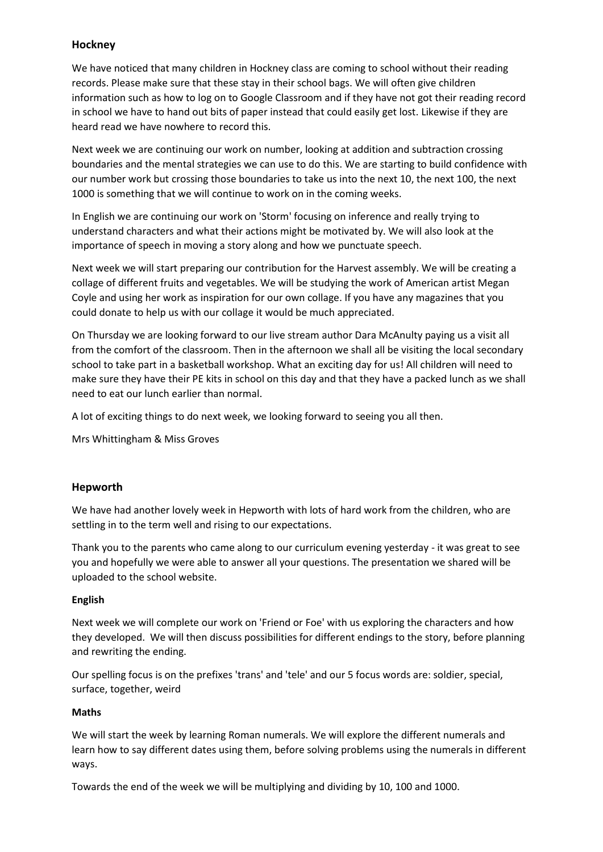# **Hockney**

We have noticed that many children in Hockney class are coming to school without their reading records. Please make sure that these stay in their school bags. We will often give children information such as how to log on to Google Classroom and if they have not got their reading record in school we have to hand out bits of paper instead that could easily get lost. Likewise if they are heard read we have nowhere to record this.

Next week we are continuing our work on number, looking at addition and subtraction crossing boundaries and the mental strategies we can use to do this. We are starting to build confidence with our number work but crossing those boundaries to take us into the next 10, the next 100, the next 1000 is something that we will continue to work on in the coming weeks.

In English we are continuing our work on 'Storm' focusing on inference and really trying to understand characters and what their actions might be motivated by. We will also look at the importance of speech in moving a story along and how we punctuate speech.

Next week we will start preparing our contribution for the Harvest assembly. We will be creating a collage of different fruits and vegetables. We will be studying the work of American artist Megan Coyle and using her work as inspiration for our own collage. If you have any magazines that you could donate to help us with our collage it would be much appreciated.

On Thursday we are looking forward to our live stream author Dara McAnulty paying us a visit all from the comfort of the classroom. Then in the afternoon we shall all be visiting the local secondary school to take part in a basketball workshop. What an exciting day for us! All children will need to make sure they have their PE kits in school on this day and that they have a packed lunch as we shall need to eat our lunch earlier than normal.

A lot of exciting things to do next week, we looking forward to seeing you all then.

Mrs Whittingham & Miss Groves

# **Hepworth**

We have had another lovely week in Hepworth with lots of hard work from the children, who are settling in to the term well and rising to our expectations.

Thank you to the parents who came along to our curriculum evening yesterday - it was great to see you and hopefully we were able to answer all your questions. The presentation we shared will be uploaded to the school website.

# **English**

Next week we will complete our work on 'Friend or Foe' with us exploring the characters and how they developed. We will then discuss possibilities for different endings to the story, before planning and rewriting the ending.

Our spelling focus is on the prefixes 'trans' and 'tele' and our 5 focus words are: soldier, special, surface, together, weird

## **Maths**

We will start the week by learning Roman numerals. We will explore the different numerals and learn how to say different dates using them, before solving problems using the numerals in different ways.

Towards the end of the week we will be multiplying and dividing by 10, 100 and 1000.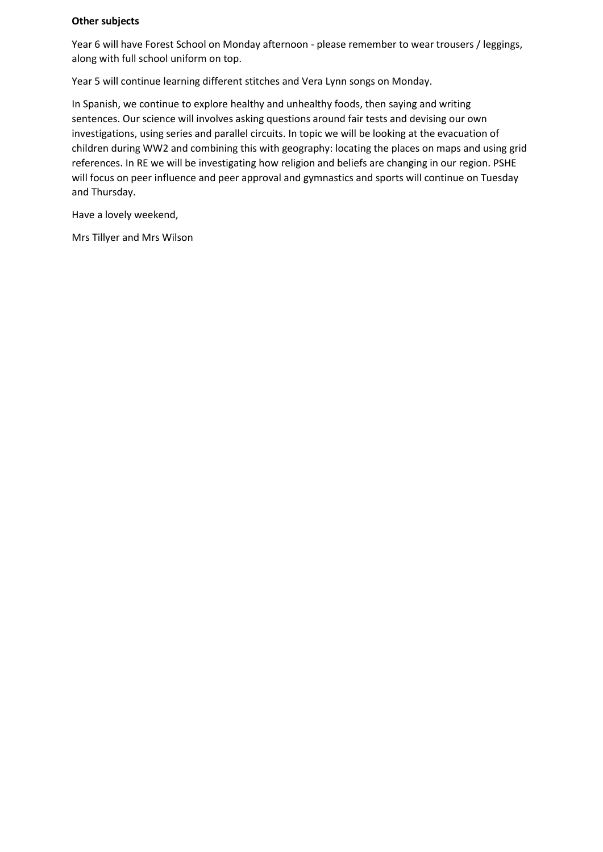## **Other subjects**

Year 6 will have Forest School on Monday afternoon - please remember to wear trousers / leggings, along with full school uniform on top.

Year 5 will continue learning different stitches and Vera Lynn songs on Monday.

In Spanish, we continue to explore healthy and unhealthy foods, then saying and writing sentences. Our science will involves asking questions around fair tests and devising our own investigations, using series and parallel circuits. In topic we will be looking at the evacuation of children during WW2 and combining this with geography: locating the places on maps and using grid references. In RE we will be investigating how religion and beliefs are changing in our region. PSHE will focus on peer influence and peer approval and gymnastics and sports will continue on Tuesday and Thursday.

Have a lovely weekend,

Mrs Tillyer and Mrs Wilson